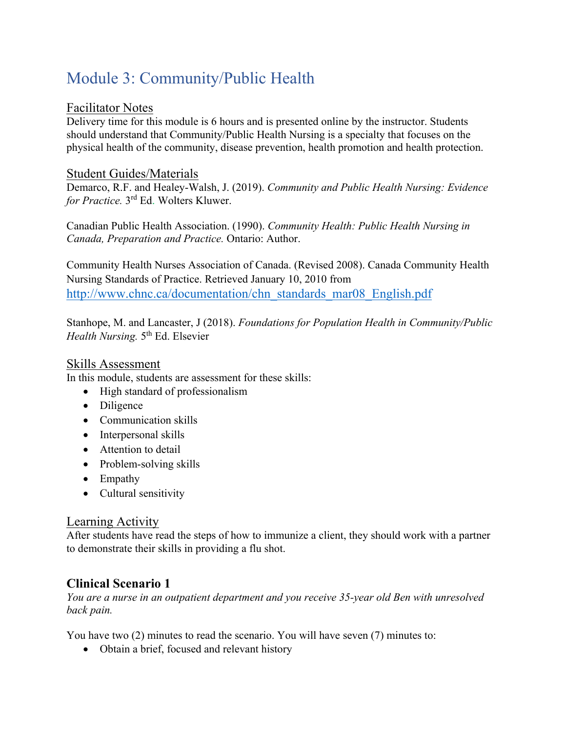# Module 3: Community/Public Health

#### Facilitator Notes

Delivery time for this module is 6 hours and is presented online by the instructor. Students should understand that Community/Public Health Nursing is a specialty that focuses on the physical health of the community, disease prevention, health promotion and health protection.

#### Student Guides/Materials

Demarco, R.F. and Healey-Walsh, J. (2019). *Community and Public Health Nursing: Evidence for Practice.* 3rd Ed. Wolters Kluwer.

Canadian Public Health Association. (1990). *Community Health: Public Health Nursing in Canada, Preparation and Practice.* Ontario: Author.

Community Health Nurses Association of Canada. (Revised 2008). Canada Community Health Nursing Standards of Practice. Retrieved January 10, 2010 from http://www.chnc.ca/documentation/chn\_standards\_mar08\_English.pdf

Stanhope, M. and Lancaster, J (2018). *Foundations for Population Health in Community/Public Health Nursing.* 5<sup>th</sup> Ed. Elsevier

#### Skills Assessment

In this module, students are assessment for these skills:

- High standard of professionalism
- Diligence
- Communication skills
- Interpersonal skills
- Attention to detail
- Problem-solving skills
- Empathy
- Cultural sensitivity

#### Learning Activity

After students have read the steps of how to immunize a client, they should work with a partner to demonstrate their skills in providing a flu shot.

## **Clinical Scenario 1**

*You are a nurse in an outpatient department and you receive 35-year old Ben with unresolved back pain.* 

You have two (2) minutes to read the scenario. You will have seven (7) minutes to:

• Obtain a brief, focused and relevant history